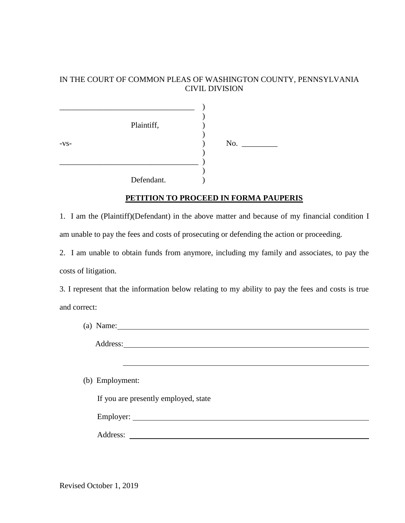## IN THE COURT OF COMMON PLEAS OF WASHINGTON COUNTY, PENNSYLVANIA CIVIL DIVISION

|        | Plaintiff, |                              |  |
|--------|------------|------------------------------|--|
| $-VS-$ |            | No. $\overline{\phantom{a}}$ |  |
|        | Defendant. |                              |  |

## **PETITION TO PROCEED IN FORMA PAUPERIS**

1. I am the (Plaintiff)(Defendant) in the above matter and because of my financial condition I am unable to pay the fees and costs of prosecuting or defending the action or proceeding.

2. I am unable to obtain funds from anymore, including my family and associates, to pay the costs of litigation.

3. I represent that the information below relating to my ability to pay the fees and costs is true and correct:

| (a) Name: $\qquad \qquad$                                     |
|---------------------------------------------------------------|
|                                                               |
|                                                               |
| (b) Employment:                                               |
| If you are presently employed, state                          |
|                                                               |
| Address:<br><u> 1989 - Andrea Brand, amerikansk politik (</u> |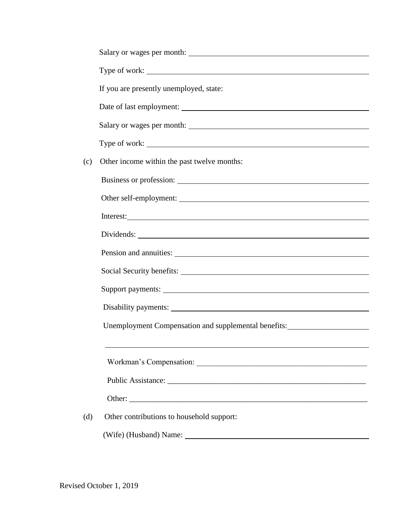|     | Type of work:                                                                    |  |
|-----|----------------------------------------------------------------------------------|--|
|     | If you are presently unemployed, state:                                          |  |
|     |                                                                                  |  |
|     |                                                                                  |  |
|     | Type of work:                                                                    |  |
| (c) | Other income within the past twelve months:                                      |  |
|     | Business or profession:                                                          |  |
|     |                                                                                  |  |
|     | Interest:                                                                        |  |
|     |                                                                                  |  |
|     |                                                                                  |  |
|     |                                                                                  |  |
|     |                                                                                  |  |
|     |                                                                                  |  |
|     | Unemployment Compensation and supplemental benefits: ___________________________ |  |
|     |                                                                                  |  |
|     |                                                                                  |  |
|     |                                                                                  |  |
|     | Other:                                                                           |  |
| (d) | Other contributions to household support:                                        |  |
|     |                                                                                  |  |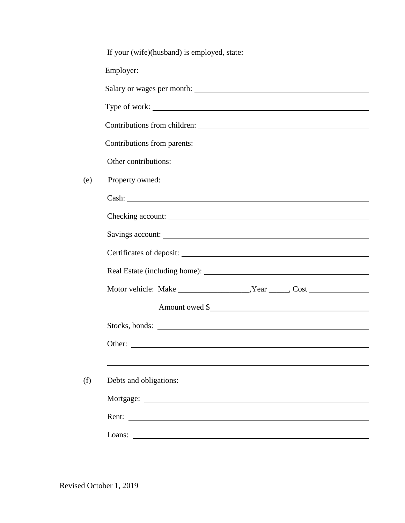|     | If your (wife)(husband) is employed, state: |
|-----|---------------------------------------------|
|     |                                             |
|     |                                             |
|     | Type of work:                               |
|     |                                             |
|     |                                             |
|     |                                             |
| (e) | Property owned:                             |
|     |                                             |
|     |                                             |
|     |                                             |
|     |                                             |
|     |                                             |
|     |                                             |
|     |                                             |
|     | Stocks, bonds:                              |
|     | Other:                                      |
|     |                                             |
| (f) | Debts and obligations:                      |
|     |                                             |
|     | Rent:                                       |
|     | Loans: $\qquad \qquad$                      |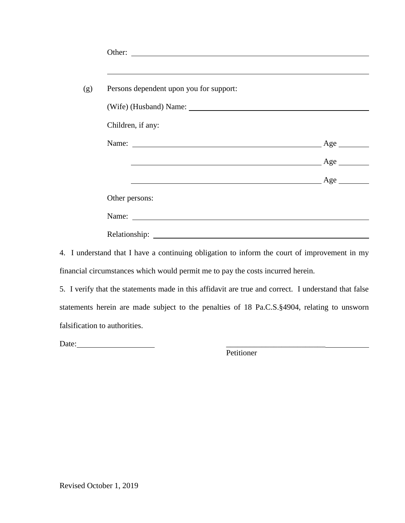| Persons dependent upon you for support:                                                               |              |
|-------------------------------------------------------------------------------------------------------|--------------|
|                                                                                                       |              |
| Children, if any:                                                                                     |              |
|                                                                                                       | $\angle$ Age |
|                                                                                                       | Age          |
| Example 2012 and 2012 and 2012 and 2012 and 2012 and 2012 and 2012 and 2012 and 2012 and 2012 and 201 |              |
| Other persons:                                                                                        |              |
| Name:                                                                                                 |              |

4. I understand that I have a continuing obligation to inform the court of improvement in my financial circumstances which would permit me to pay the costs incurred herein.

| 5. I verify that the statements made in this affidavit are true and correct. I understand that false |
|------------------------------------------------------------------------------------------------------|
| statements herein are made subject to the penalties of 18 Pa.C.S. §4904, relating to unsworn         |
| falsification to authorities.                                                                        |

Date: \_\_\_\_\_\_\_\_\_\_\_\_\_\_\_\_\_\_\_\_\_\_\_\_\_

Petitioner